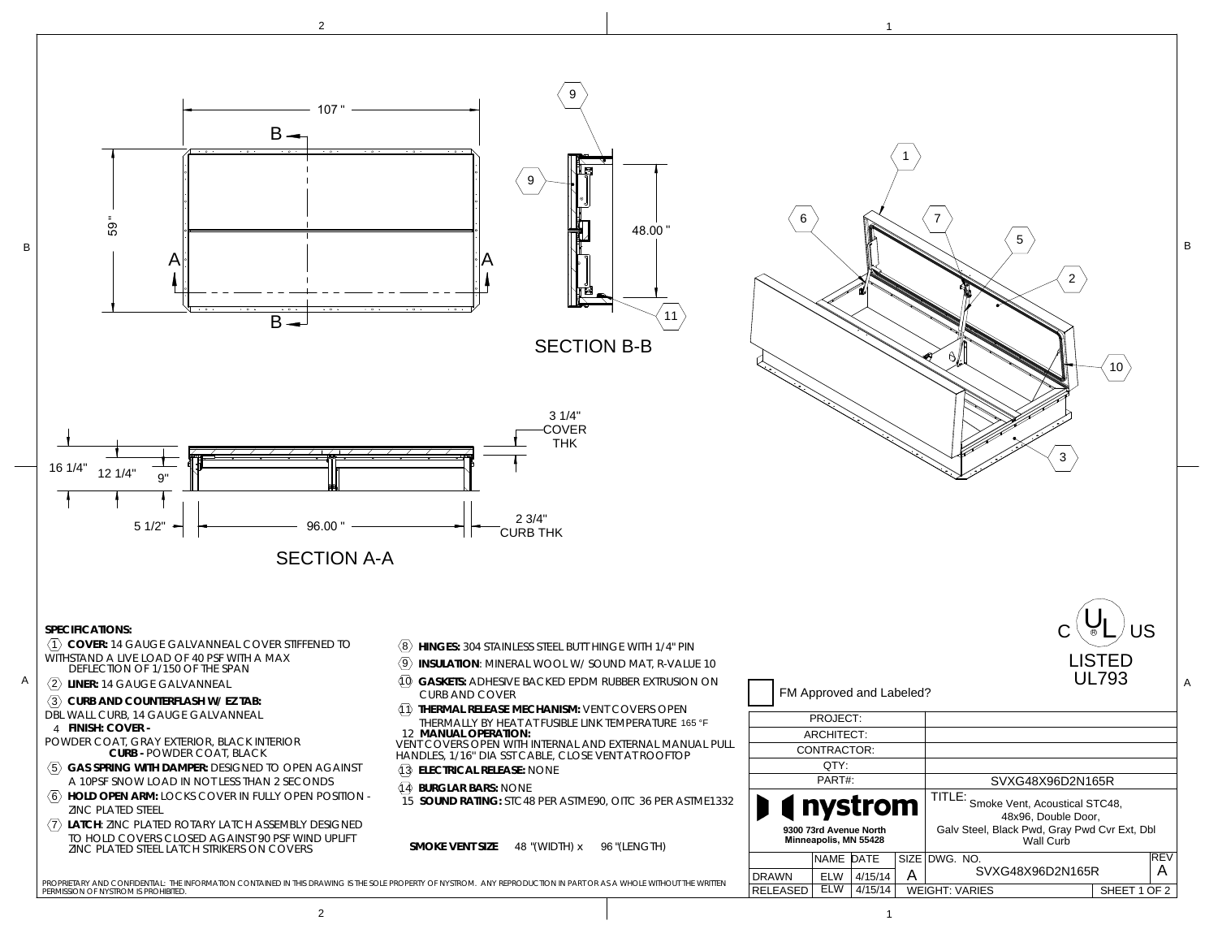



B

12 1/4"

16 1/4"

9"



9





PERMISSION OF NYSTROM IS PROHIBITED.PROPRIETARY AND CONFIDENTIAL: THE INFORMATION CONTAINED IN THIS DRAWING IS THE SOLE PROPERTY OF NYSTROM. ANY REPRODUCTION IN PART OR AS A WHOLE WITHOUT THE WRITTEN

| BBER EXTRUSION ON                   |                                                 |            |         |      | <b>UL793</b>                                                |              |     |
|-------------------------------------|-------------------------------------------------|------------|---------|------|-------------------------------------------------------------|--------------|-----|
| OVERS OPEN:                         | FM Approved and Labeled?                        |            |         |      |                                                             |              |     |
| <b>MPERATURE 165 °F</b>             | PROJECT:                                        |            |         |      |                                                             |              |     |
| (TERNAL MANUAL PULL<br>e at Rooftop | ARCHITECT:                                      |            |         |      |                                                             |              |     |
|                                     | CONTRACTOR:                                     |            |         |      |                                                             |              |     |
|                                     | OTY:                                            |            |         |      |                                                             |              |     |
|                                     | PART#:                                          |            |         |      | SVXG48X96D2N165R                                            |              |     |
| <b>ITC 36 PER ASTME1332</b>         | <b>Inystrom</b>                                 |            |         |      | TITLE: Smoke Vent, Acoustical STC48,<br>48x96. Double Door. |              |     |
| (LENGTH)                            | 9300 73rd Avenue North<br>Minneapolis, MN 55428 |            |         |      | Galv Steel, Black Pwd, Gray Pwd Cvr Ext, Dbl<br>Wall Curb   |              |     |
|                                     |                                                 | NAME DATE  |         | SIZE | DWG. NO.                                                    |              | REV |
| WHOLE WITHOUT THE WRITTEN           | <b>DRAWN</b>                                    | <b>ELW</b> | 4/15/14 | Α    | SVXG48X96D2N165R                                            |              | А   |
|                                     | RFI FASED                                       | <b>ELW</b> | 4/15/14 |      | <b>WEIGHT: VARIES</b>                                       | SHEET 1 OF 2 |     |

7

1

6

 $\mathsf{c}^{\,(\mathsf{U}_{\mathsf{L}})}$ us

10

2

3

5

B

LISTED

2